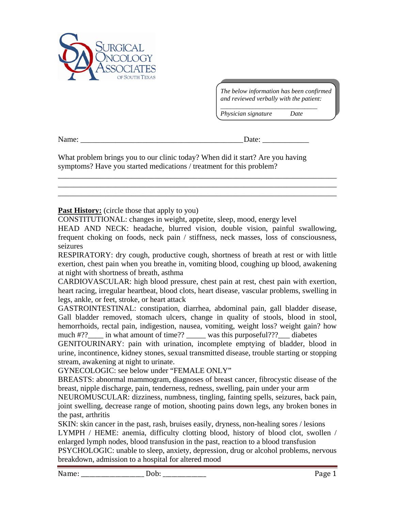

*The below information has been confirmed and reviewed verbally with the patient:* 

*\_\_\_\_\_\_\_\_\_\_\_\_\_\_\_\_\_\_\_\_\_\_\_\_\_\_\_\_\_\_* 

*Physician signature Date* 

Name: \_\_\_\_\_\_\_\_\_\_\_\_\_\_\_\_\_\_\_\_\_\_\_\_\_\_\_\_\_\_\_\_\_\_\_\_\_\_\_\_\_\_ Date: \_\_\_\_\_\_\_\_\_\_\_\_

What problem brings you to our clinic today? When did it start? Are you having symptoms? Have you started medications / treatment for this problem?

## **Past History:** (circle those that apply to you)

CONSTITUTIONAL: changes in weight, appetite, sleep, mood, energy level

HEAD AND NECK: headache, blurred vision, double vision, painful swallowing, frequent choking on foods, neck pain / stiffness, neck masses, loss of consciousness, seizures

\_\_\_\_\_\_\_\_\_\_\_\_\_\_\_\_\_\_\_\_\_\_\_\_\_\_\_\_\_\_\_\_\_\_\_\_\_\_\_\_\_\_\_\_\_\_\_\_\_\_\_\_\_\_\_\_\_\_\_\_\_\_\_\_\_\_\_\_\_\_\_\_ \_\_\_\_\_\_\_\_\_\_\_\_\_\_\_\_\_\_\_\_\_\_\_\_\_\_\_\_\_\_\_\_\_\_\_\_\_\_\_\_\_\_\_\_\_\_\_\_\_\_\_\_\_\_\_\_\_\_\_\_\_\_\_\_\_\_\_\_\_\_\_\_ \_\_\_\_\_\_\_\_\_\_\_\_\_\_\_\_\_\_\_\_\_\_\_\_\_\_\_\_\_\_\_\_\_\_\_\_\_\_\_\_\_\_\_\_\_\_\_\_\_\_\_\_\_\_\_\_\_\_\_\_\_\_\_\_\_\_\_\_\_\_\_\_

RESPIRATORY: dry cough, productive cough, shortness of breath at rest or with little exertion, chest pain when you breathe in, vomiting blood, coughing up blood, awakening at night with shortness of breath, asthma

CARDIOVASCULAR: high blood pressure, chest pain at rest, chest pain with exertion, heart racing, irregular heartbeat, blood clots, heart disease, vascular problems, swelling in legs, ankle, or feet, stroke, or heart attack

GASTROINTESTINAL: constipation, diarrhea, abdominal pain, gall bladder disease, Gall bladder removed, stomach ulcers, change in quality of stools, blood in stool, hemorrhoids, rectal pain, indigestion, nausea, vomiting, weight loss? weight gain? how much #??\_\_\_\_ in what amount of time?? \_\_\_\_\_ was this purposeful???\_\_\_ diabetes

GENITOURINARY: pain with urination, incomplete emptying of bladder, blood in urine, incontinence, kidney stones, sexual transmitted disease, trouble starting or stopping stream, awakening at night to urinate.

GYNECOLOGIC: see below under "FEMALE ONLY"

BREASTS: abnormal mammogram, diagnoses of breast cancer, fibrocystic disease of the breast, nipple discharge, pain, tenderness, redness, swelling, pain under your arm

NEUROMUSCULAR: dizziness, numbness, tingling, fainting spells, seizures, back pain, joint swelling, decrease range of motion, shooting pains down legs, any broken bones in the past, arthritis

SKIN: skin cancer in the past, rash, bruises easily, dryness, non-healing sores / lesions LYMPH / HEME: anemia, difficulty clotting blood, history of blood clot, swollen / enlarged lymph nodes, blood transfusion in the past, reaction to a blood transfusion PSYCHOLOGIC: unable to sleep, anxiety, depression, drug or alcohol problems, nervous breakdown, admission to a hospital for altered mood

Name: Cobing the Dob: the contract of the Page 1 and the Page 1 and the Page 1 and the Page 1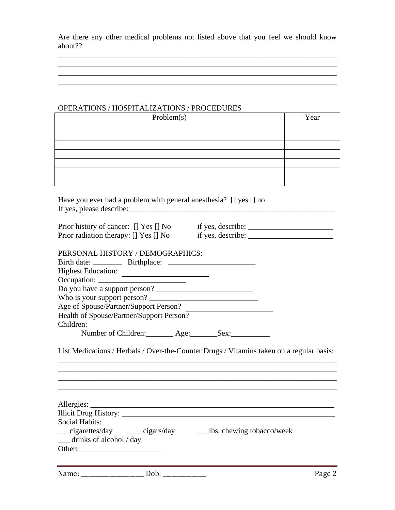Are there any other medical problems not listed above that you feel we should know about??

\_\_\_\_\_\_\_\_\_\_\_\_\_\_\_\_\_\_\_\_\_\_\_\_\_\_\_\_\_\_\_\_\_\_\_\_\_\_\_\_\_\_\_\_\_\_\_\_\_\_\_\_\_\_\_\_\_\_\_\_\_\_\_\_\_\_\_\_\_\_\_\_

 $\mathcal{L}_\text{max}$  , and the set of the set of the set of the set of the set of the set of the set of the set of the set of the set of the set of the set of the set of the set of the set of the set of the set of the set of the \_\_\_\_\_\_\_\_\_\_\_\_\_\_\_\_\_\_\_\_\_\_\_\_\_\_\_\_\_\_\_\_\_\_\_\_\_\_\_\_\_\_\_\_\_\_\_\_\_\_\_\_\_\_\_\_\_\_\_\_\_\_\_\_\_\_\_\_\_\_\_\_

## OPERATIONS / HOSPITALIZATIONS / PROCEDURES

| Problem(s) | Year |
|------------|------|
|            |      |
|            |      |
|            |      |
|            |      |
|            |      |
|            |      |
|            |      |

| Have you ever had a problem with general anesthesia? [] yes [] no |  |
|-------------------------------------------------------------------|--|
| If yes, please describe:                                          |  |

| Prior history of cancer: [] Yes [] No | if yes, describe: |
|---------------------------------------|-------------------|
| Prior radiation therapy: [] Yes [] No | if yes, describe: |

| PERSONAL HISTORY / DEMOGRAPHICS: |  |
|----------------------------------|--|
|----------------------------------|--|

| <b>Highest Education:</b>                |  |
|------------------------------------------|--|
|                                          |  |
| Do you have a support person?            |  |
| Who is your support person?              |  |
| Age of Spouse/Partner/Support Person?    |  |
| Health of Spouse/Partner/Support Person? |  |
| Children:                                |  |

Number of Children: Age: Sex:

List Medications / Herbals / Over-the-Counter Drugs / Vitamins taken on a regular basis: \_\_\_\_\_\_\_\_\_\_\_\_\_\_\_\_\_\_\_\_\_\_\_\_\_\_\_\_\_\_\_\_\_\_\_\_\_\_\_\_\_\_\_\_\_\_\_\_\_\_\_\_\_\_\_\_\_\_\_\_\_\_\_\_\_\_\_\_\_\_\_\_

\_\_\_\_\_\_\_\_\_\_\_\_\_\_\_\_\_\_\_\_\_\_\_\_\_\_\_\_\_\_\_\_\_\_\_\_\_\_\_\_\_\_\_\_\_\_\_\_\_\_\_\_\_\_\_\_\_\_\_\_\_\_\_\_\_\_\_\_\_\_\_\_

\_\_\_\_\_\_\_\_\_\_\_\_\_\_\_\_\_\_\_\_\_\_\_\_\_\_\_\_\_\_\_\_\_\_\_\_\_\_\_\_\_\_\_\_\_\_\_\_\_\_\_\_\_\_\_\_\_\_\_\_\_\_\_\_\_\_\_\_\_\_\_\_

 $\mathcal{L}_\text{max} = \mathcal{L}_\text{max} = \mathcal{L}_\text{max} = \mathcal{L}_\text{max} = \mathcal{L}_\text{max} = \mathcal{L}_\text{max} = \mathcal{L}_\text{max} = \mathcal{L}_\text{max} = \mathcal{L}_\text{max} = \mathcal{L}_\text{max} = \mathcal{L}_\text{max} = \mathcal{L}_\text{max} = \mathcal{L}_\text{max} = \mathcal{L}_\text{max} = \mathcal{L}_\text{max} = \mathcal{L}_\text{max} = \mathcal{L}_\text{max} = \mathcal{L}_\text{max} = \mathcal{$ 

| Social Habits:                        |                             |
|---------------------------------------|-----------------------------|
| cigarettes/day cigars/day             | ___bs. chewing tobacco/week |
| $\frac{1}{2}$ drinks of alcohol / day |                             |
| Other:                                |                             |

| Name:  | 1000 |
|--------|------|
| . IOP. | ิสะเ |
| υu     |      |